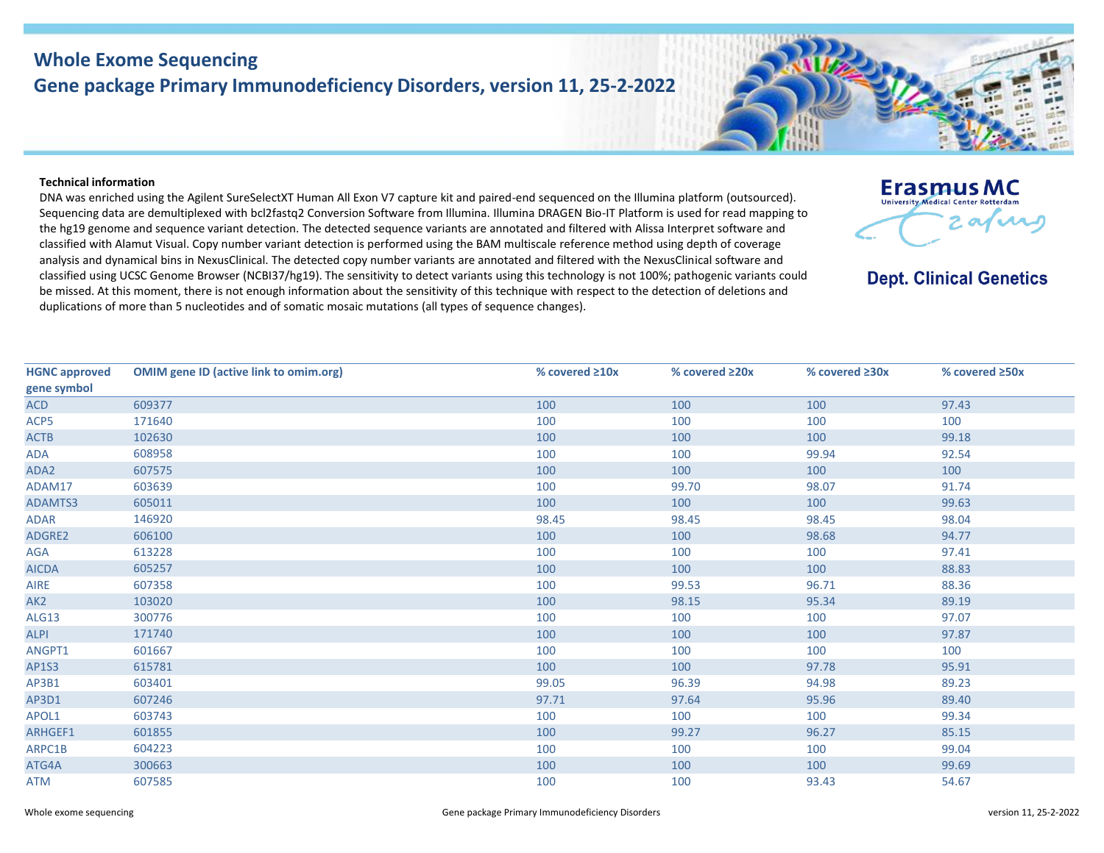## **Whole Exome Sequencing Gene package Primary Immunodeficiency Disorders, version 11, 25-2-2022**

## **Technical information**

DNA was enriched using the Agilent SureSelectXT Human All Exon V7 capture kit and paired-end sequenced on the Illumina platform (outsourced). Sequencing data are demultiplexed with bcl2fastq2 Conversion Software from Illumina. Illumina DRAGEN Bio-IT Platform is used for read mapping to the hg19 genome and sequence variant detection. The detected sequence variants are annotated and filtered with Alissa Interpret software and classified with Alamut Visual. Copy number variant detection is performed using the BAM multiscale reference method using depth of coverage analysis and dynamical bins in NexusClinical. The detected copy number variants are annotated and filtered with the NexusClinical software and classified using UCSC Genome Browser (NCBI37/hg19). The sensitivity to detect variants using this technology is not 100%; pathogenic variants could be missed. At this moment, there is not enough information about the sensitivity of this technique with respect to the detection of deletions and duplications of more than 5 nucleotides and of somatic mosaic mutations (all types of sequence changes).

| <b>HGNC approved</b> | <b>OMIM gene ID (active link to omim.org)</b> | % covered ≥10x | % covered ≥20x | % covered ≥30x | % covered ≥50x |
|----------------------|-----------------------------------------------|----------------|----------------|----------------|----------------|
| gene symbol          |                                               |                |                |                |                |
| <b>ACD</b>           | 609377                                        | 100            | 100            | 100            | 97.43          |
| ACP5                 | 171640                                        | 100            | 100            | 100            | 100            |
| <b>ACTB</b>          | 102630                                        | 100            | 100            | 100            | 99.18          |
| ADA                  | 608958                                        | 100            | 100            | 99.94          | 92.54          |
| ADA2                 | 607575                                        | 100            | 100            | 100            | 100            |
| ADAM17               | 603639                                        | 100            | 99.70          | 98.07          | 91.74          |
| <b>ADAMTS3</b>       | 605011                                        | 100            | 100            | 100            | 99.63          |
| ADAR                 | 146920                                        | 98.45          | 98.45          | 98.45          | 98.04          |
| <b>ADGRE2</b>        | 606100                                        | 100            | 100            | 98.68          | 94.77          |
| AGA                  | 613228                                        | 100            | 100            | 100            | 97.41          |
| <b>AICDA</b>         | 605257                                        | 100            | 100            | 100            | 88.83          |
| <b>AIRE</b>          | 607358                                        | 100            | 99.53          | 96.71          | 88.36          |
| AK <sub>2</sub>      | 103020                                        | 100            | 98.15          | 95.34          | 89.19          |
| <b>ALG13</b>         | 300776                                        | 100            | 100            | 100            | 97.07          |
| <b>ALPI</b>          | 171740                                        | 100            | 100            | 100            | 97.87          |
| ANGPT1               | 601667                                        | 100            | 100            | 100            | 100            |
| <b>AP1S3</b>         | 615781                                        | 100            | 100            | 97.78          | 95.91          |
| AP3B1                | 603401                                        | 99.05          | 96.39          | 94.98          | 89.23          |
| AP3D1                | 607246                                        | 97.71          | 97.64          | 95.96          | 89.40          |
| APOL1                | 603743                                        | 100            | 100            | 100            | 99.34          |
| <b>ARHGEF1</b>       | 601855                                        | 100            | 99.27          | 96.27          | 85.15          |
| ARPC1B               | 604223                                        | 100            | 100            | 100            | 99.04          |
| ATG4A                | 300663                                        | 100            | 100            | 100            | 99.69          |
| ATM                  | 607585                                        | 100            | 100            | 93.43          | 54.67          |



**Dept. Clinical Genetics** 

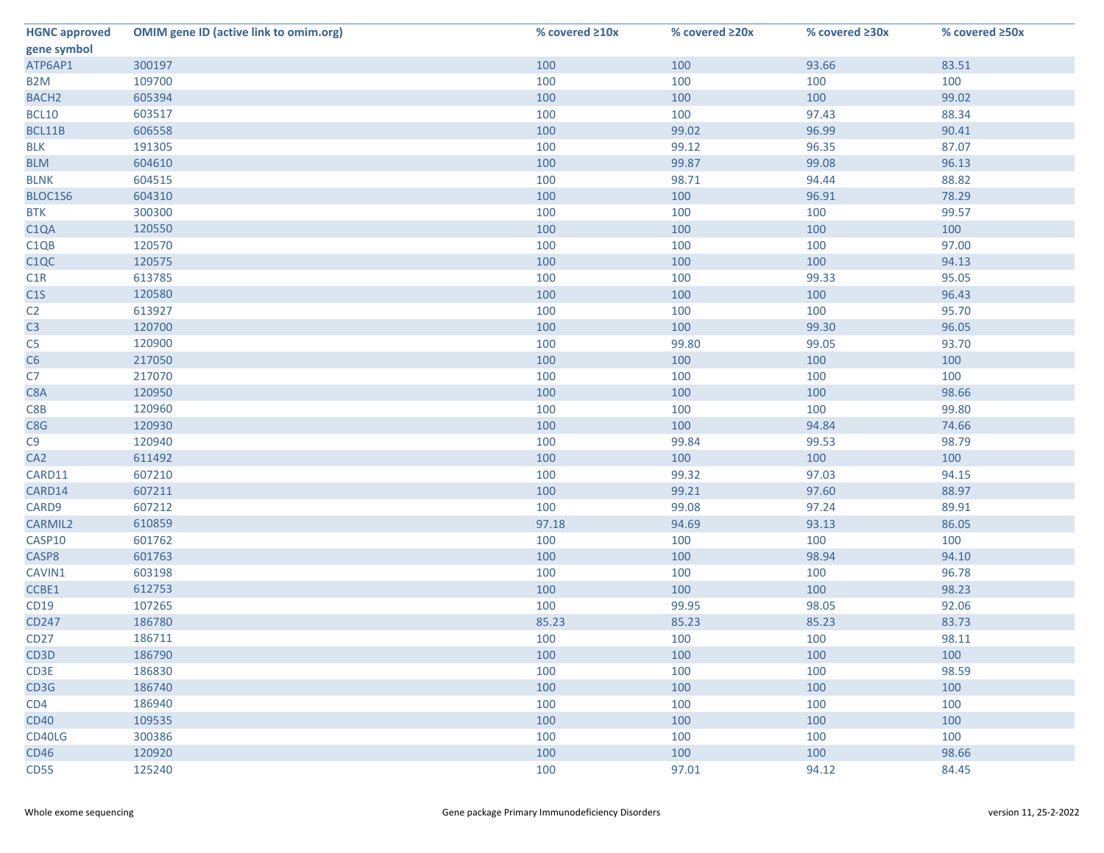| <b>HGNC approved</b>          | <b>OMIM gene ID (active link to omim.org)</b> | % covered $\geq 10x$ | % covered ≥20x | % covered ≥30x | % covered ≥50x |
|-------------------------------|-----------------------------------------------|----------------------|----------------|----------------|----------------|
| gene symbol                   |                                               |                      |                |                |                |
| ATP6AP1                       | 300197                                        | 100                  | 100            | 93.66          | 83.51          |
| B <sub>2</sub> M              | 109700                                        | 100                  | 100            | 100            | 100            |
| BACH <sub>2</sub>             | 605394                                        | 100                  | 100            | 100            | 99.02          |
| <b>BCL10</b>                  | 603517                                        | 100                  | 100            | 97.43          | 88.34          |
| BCL11B                        | 606558                                        | 100                  | 99.02          | 96.99          | 90.41          |
| <b>BLK</b>                    | 191305                                        | 100                  | 99.12          | 96.35          | 87.07          |
| <b>BLM</b>                    | 604610                                        | 100                  | 99.87          | 99.08          | 96.13          |
| <b>BLNK</b>                   | 604515                                        | 100                  | 98.71          | 94.44          | 88.82          |
| BLOC1S6                       | 604310                                        | 100                  | 100            | 96.91          | 78.29          |
| <b>BTK</b>                    | 300300                                        | 100                  | 100            | 100            | 99.57          |
| C <sub>1</sub> QA             | 120550                                        | 100                  | 100            | 100            | 100            |
| C <sub>1</sub> Q <sub>B</sub> | 120570                                        | 100                  | 100            | 100            | 97.00          |
| C <sub>1</sub> QC             | 120575                                        | 100                  | 100            | 100            | 94.13          |
| C1R                           | 613785                                        | 100                  | 100            | 99.33          | 95.05          |
| C1S                           | 120580                                        | 100                  | 100            | 100            | 96.43          |
| C <sub>2</sub>                | 613927                                        | 100                  | 100            | 100            | 95.70          |
| C <sub>3</sub>                | 120700                                        | 100                  | 100            | 99.30          | 96.05          |
| C <sub>5</sub>                | 120900                                        | 100                  | 99.80          | 99.05          | 93.70          |
| C6                            | 217050                                        | 100                  | 100            | 100            | 100            |
| C7                            | 217070                                        | 100                  | 100            | 100            | 100            |
| C8A                           | 120950                                        | 100                  | 100            | 100            | 98.66          |
| C8B                           | 120960                                        | 100                  | 100            | 100            | 99.80          |
| C8G                           | 120930                                        | 100                  | 100            | 94.84          | 74.66          |
| C9                            | 120940                                        | 100                  | 99.84          | 99.53          | 98.79          |
| CA <sub>2</sub>               | 611492                                        | 100                  | 100            | 100            | 100            |
| CARD11                        | 607210                                        | 100                  | 99.32          | 97.03          | 94.15          |
| CARD14                        | 607211                                        | 100                  | 99.21          | 97.60          | 88.97          |
| CARD9                         | 607212                                        | 100                  | 99.08          | 97.24          | 89.91          |
| <b>CARMIL2</b>                | 610859                                        | 97.18                | 94.69          | 93.13          | 86.05          |
| CASP10                        | 601762                                        | 100                  | 100            | 100            | 100            |
| CASP8                         | 601763                                        | 100                  | 100            | 98.94          | 94.10          |
| CAVIN1                        | 603198                                        | 100                  | 100            | 100            | 96.78          |
| CCBE1                         | 612753                                        | 100                  | 100            | 100            | 98.23          |
| CD19                          | 107265                                        | 100                  | 99.95          | 98.05          | 92.06          |
| <b>CD247</b>                  | 186780                                        | 85.23                | 85.23          | 85.23          | 83.73          |
| CD27                          | 186711                                        | 100                  | 100            | 100            | 98.11          |
| CD <sub>3</sub> D             | 186790                                        | 100                  | 100            | 100            | 100            |
| CD3E                          | 186830                                        | 100                  | 100            | 100            | 98.59          |
| CD3G                          | 186740                                        | 100                  | 100            | 100            | 100            |
| CD4                           | 186940                                        | 100                  | 100            | 100            | 100            |
| <b>CD40</b>                   | 109535                                        | 100                  | 100            | 100            | 100            |
| CD40LG                        | 300386                                        | 100                  | 100            | 100            | 100            |
| <b>CD46</b>                   | 120920                                        | 100                  | 100            | 100            | 98.66          |
| <b>CD55</b>                   | 125240                                        | 100                  | 97.01          | 94.12          | 84.45          |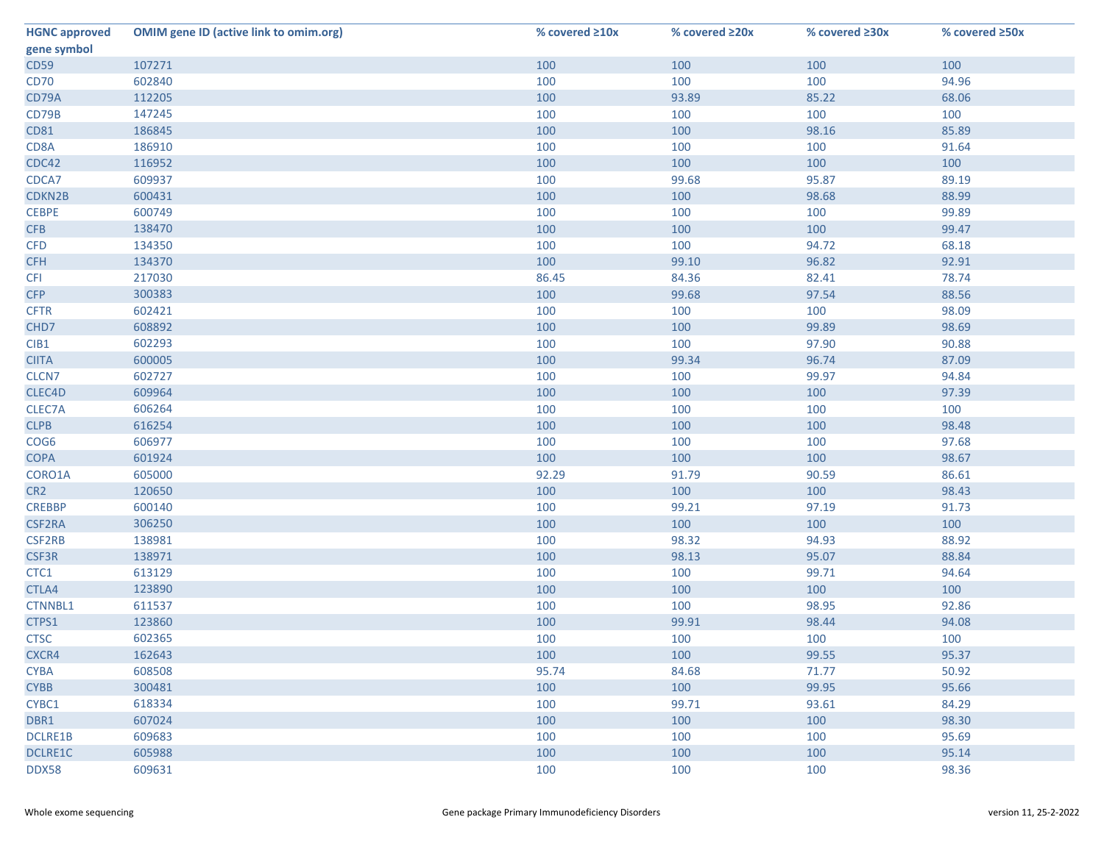| <b>HGNC approved</b> | <b>OMIM gene ID (active link to omim.org)</b> | % covered $\geq 10x$ | % covered ≥20x | % covered ≥30x | % covered ≥50x |
|----------------------|-----------------------------------------------|----------------------|----------------|----------------|----------------|
| gene symbol          |                                               |                      |                |                |                |
| <b>CD59</b>          | 107271                                        | 100                  | 100            | 100            | 100            |
| <b>CD70</b>          | 602840                                        | 100                  | 100            | 100            | 94.96          |
| CD79A                | 112205                                        | 100                  | 93.89          | 85.22          | 68.06          |
| CD79B                | 147245                                        | 100                  | 100            | 100            | 100            |
| <b>CD81</b>          | 186845                                        | 100                  | 100            | 98.16          | 85.89          |
| CD8A                 | 186910                                        | 100                  | 100            | 100            | 91.64          |
| CDC42                | 116952                                        | 100                  | 100            | 100            | 100            |
| CDCA7                | 609937                                        | 100                  | 99.68          | 95.87          | 89.19          |
| CDKN2B               | 600431                                        | 100                  | 100            | 98.68          | 88.99          |
| <b>CEBPE</b>         | 600749                                        | 100                  | 100            | 100            | 99.89          |
| <b>CFB</b>           | 138470                                        | 100                  | 100            | 100            | 99.47          |
| <b>CFD</b>           | 134350                                        | 100                  | 100            | 94.72          | 68.18          |
| <b>CFH</b>           | 134370                                        | 100                  | 99.10          | 96.82          | 92.91          |
| <b>CFI</b>           | 217030                                        | 86.45                | 84.36          | 82.41          | 78.74          |
| <b>CFP</b>           | 300383                                        | 100                  | 99.68          | 97.54          | 88.56          |
| <b>CFTR</b>          | 602421                                        | 100                  | 100            | 100            | 98.09          |
| CHD7                 | 608892                                        | 100                  | 100            | 99.89          | 98.69          |
| CIB1                 | 602293                                        | 100                  | 100            | 97.90          | 90.88          |
| <b>CIITA</b>         | 600005                                        | 100                  | 99.34          | 96.74          | 87.09          |
| CLCN7                | 602727                                        | 100                  | 100            | 99.97          | 94.84          |
| CLEC4D               | 609964                                        | 100                  | 100            | 100            | 97.39          |
| CLEC7A               | 606264                                        | 100                  | 100            | 100            | 100            |
| <b>CLPB</b>          | 616254                                        | 100                  | 100            | 100            | 98.48          |
| COG6                 | 606977                                        | 100                  | 100            | 100            | 97.68          |
| <b>COPA</b>          | 601924                                        | 100                  | 100            | 100            | 98.67          |
| CORO1A               | 605000                                        | 92.29                | 91.79          | 90.59          | 86.61          |
| CR <sub>2</sub>      | 120650                                        | 100                  | 100            | 100            | 98.43          |
| <b>CREBBP</b>        | 600140                                        | 100                  | 99.21          | 97.19          | 91.73          |
| <b>CSF2RA</b>        | 306250                                        | 100                  | 100            | 100            | 100            |
| CSF2RB               | 138981                                        | 100                  | 98.32          | 94.93          | 88.92          |
| CSF3R                | 138971                                        | 100                  | 98.13          | 95.07          | 88.84          |
| CTC1                 | 613129                                        | 100                  | 100            | 99.71          | 94.64          |
| CTLA4                | 123890                                        | 100                  | 100            | 100            | 100            |
| <b>CTNNBL1</b>       | 611537                                        | 100                  | 100            | 98.95          | 92.86          |
| CTPS1                | 123860                                        | 100                  | 99.91          | 98.44          | 94.08          |
| <b>CTSC</b>          | 602365                                        | 100                  | 100            | 100            | 100            |
| CXCR4                | 162643                                        | 100                  | 100            | 99.55          | 95.37          |
| <b>CYBA</b>          | 608508                                        | 95.74                | 84.68          | 71.77          | 50.92          |
| <b>CYBB</b>          | 300481                                        | 100                  | 100            | 99.95          | 95.66          |
| CYBC1                | 618334                                        | 100                  | 99.71          | 93.61          | 84.29          |
| DBR1                 | 607024                                        | 100                  | 100            | 100            | 98.30          |
| <b>DCLRE1B</b>       | 609683                                        | 100                  | 100            | 100            | 95.69          |
| DCLRE1C              | 605988                                        | 100                  | 100            | 100            | 95.14          |
| DDX58                | 609631                                        | 100                  | 100            | 100            | 98.36          |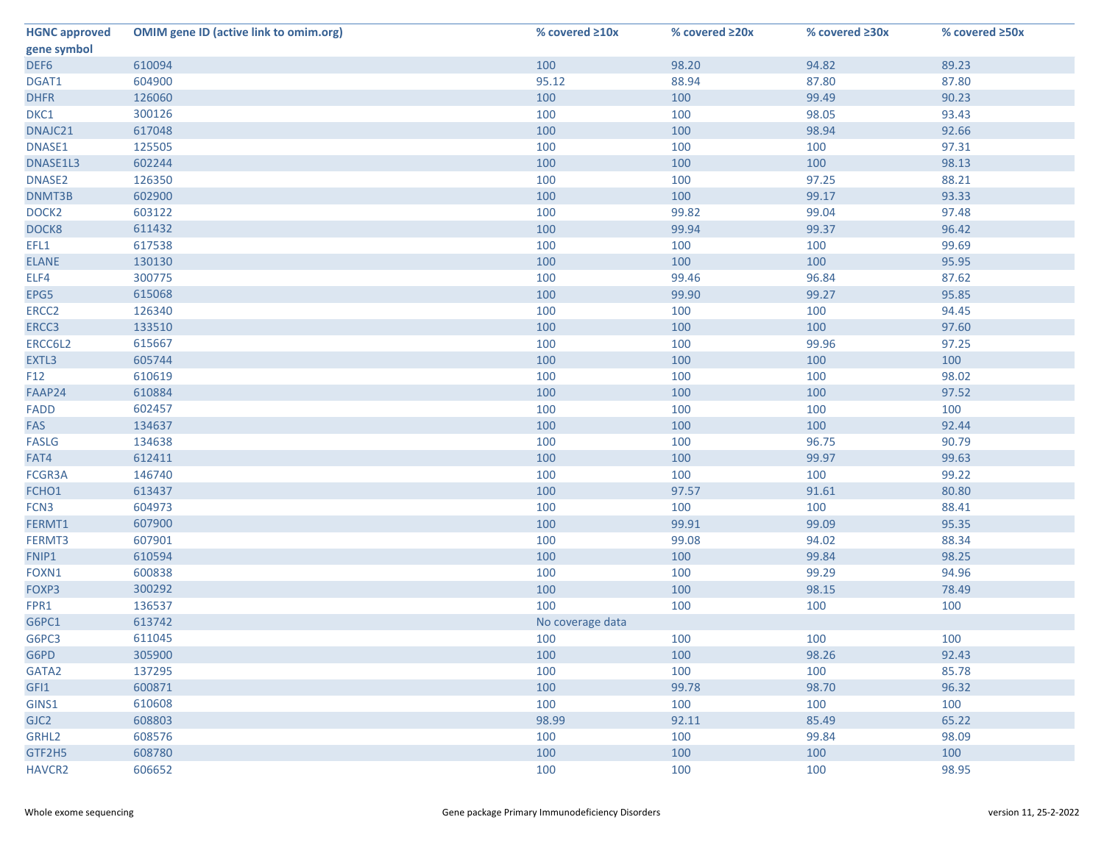| <b>HGNC approved</b> | <b>OMIM gene ID (active link to omim.org)</b> | % covered $\geq 10x$ | % covered ≥20x | % covered ≥30x | % covered ≥50x |
|----------------------|-----------------------------------------------|----------------------|----------------|----------------|----------------|
| gene symbol          |                                               |                      |                |                |                |
| DEF6                 | 610094                                        | 100                  | 98.20          | 94.82          | 89.23          |
| DGAT1                | 604900                                        | 95.12                | 88.94          | 87.80          | 87.80          |
| <b>DHFR</b>          | 126060                                        | 100                  | 100            | 99.49          | 90.23          |
| DKC1                 | 300126                                        | 100                  | 100            | 98.05          | 93.43          |
| DNAJC21              | 617048                                        | 100                  | 100            | 98.94          | 92.66          |
| DNASE1               | 125505                                        | 100                  | 100            | 100            | 97.31          |
| DNASE1L3             | 602244                                        | 100                  | 100            | 100            | 98.13          |
| DNASE2               | 126350                                        | 100                  | 100            | 97.25          | 88.21          |
| DNMT3B               | 602900                                        | 100                  | 100            | 99.17          | 93.33          |
| DOCK <sub>2</sub>    | 603122                                        | 100                  | 99.82          | 99.04          | 97.48          |
| DOCK8                | 611432                                        | 100                  | 99.94          | 99.37          | 96.42          |
| EFL1                 | 617538                                        | 100                  | 100            | 100            | 99.69          |
| <b>ELANE</b>         | 130130                                        | 100                  | 100            | 100            | 95.95          |
| ELF4                 | 300775                                        | 100                  | 99.46          | 96.84          | 87.62          |
| EPG5                 | 615068                                        | 100                  | 99.90          | 99.27          | 95.85          |
| ERCC <sub>2</sub>    | 126340                                        | 100                  | 100            | 100            | 94.45          |
| ERCC3                | 133510                                        | 100                  | 100            | 100            | 97.60          |
| ERCC6L2              | 615667                                        | 100                  | 100            | 99.96          | 97.25          |
| EXTL3                | 605744                                        | 100                  | 100            | 100            | 100            |
| F12                  | 610619                                        | 100                  | 100            | 100            | 98.02          |
| FAAP24               | 610884                                        | 100                  | 100            | 100            | 97.52          |
| FADD                 | 602457                                        | 100                  | 100            | 100            | 100            |
| FAS                  | 134637                                        | 100                  | 100            | 100            | 92.44          |
| <b>FASLG</b>         | 134638                                        | 100                  | 100            | 96.75          | 90.79          |
| FAT4                 | 612411                                        | 100                  | 100            | 99.97          | 99.63          |
| FCGR3A               | 146740                                        | 100                  | 100            | 100            | 99.22          |
| FCHO1                | 613437                                        | 100                  | 97.57          | 91.61          | 80.80          |
| FCN <sub>3</sub>     | 604973                                        | 100                  | 100            | 100            | 88.41          |
| FERMT1               | 607900                                        | 100                  | 99.91          | 99.09          | 95.35          |
| FERMT3               | 607901                                        | 100                  | 99.08          | 94.02          | 88.34          |
| FNIP1                | 610594                                        | 100                  | 100            | 99.84          | 98.25          |
| FOXN1                | 600838                                        | 100                  | 100            | 99.29          | 94.96          |
| FOXP3                | 300292                                        | 100                  | 100            | 98.15          | 78.49          |
| FPR1                 | 136537                                        | 100                  | 100            | 100            | 100            |
| G6PC1                | 613742                                        | No coverage data     |                |                |                |
| G6PC3                | 611045                                        | 100                  | 100            | 100            | 100            |
| G6PD                 | 305900                                        | 100                  | 100            | 98.26          | 92.43          |
| GATA2                | 137295                                        | 100                  | 100            | 100            | 85.78          |
| GFI1                 | 600871                                        | 100                  | 99.78          | 98.70          | 96.32          |
| GINS1                | 610608                                        | 100                  | 100            | 100            | 100            |
| GJC <sub>2</sub>     | 608803                                        | 98.99                | 92.11          | 85.49          | 65.22          |
| GRHL2                | 608576                                        | 100                  | 100            | 99.84          | 98.09          |
| GTF2H5               | 608780                                        | 100                  | 100            | 100            | 100            |
| <b>HAVCR2</b>        | 606652                                        | 100                  | 100            | 100            | 98.95          |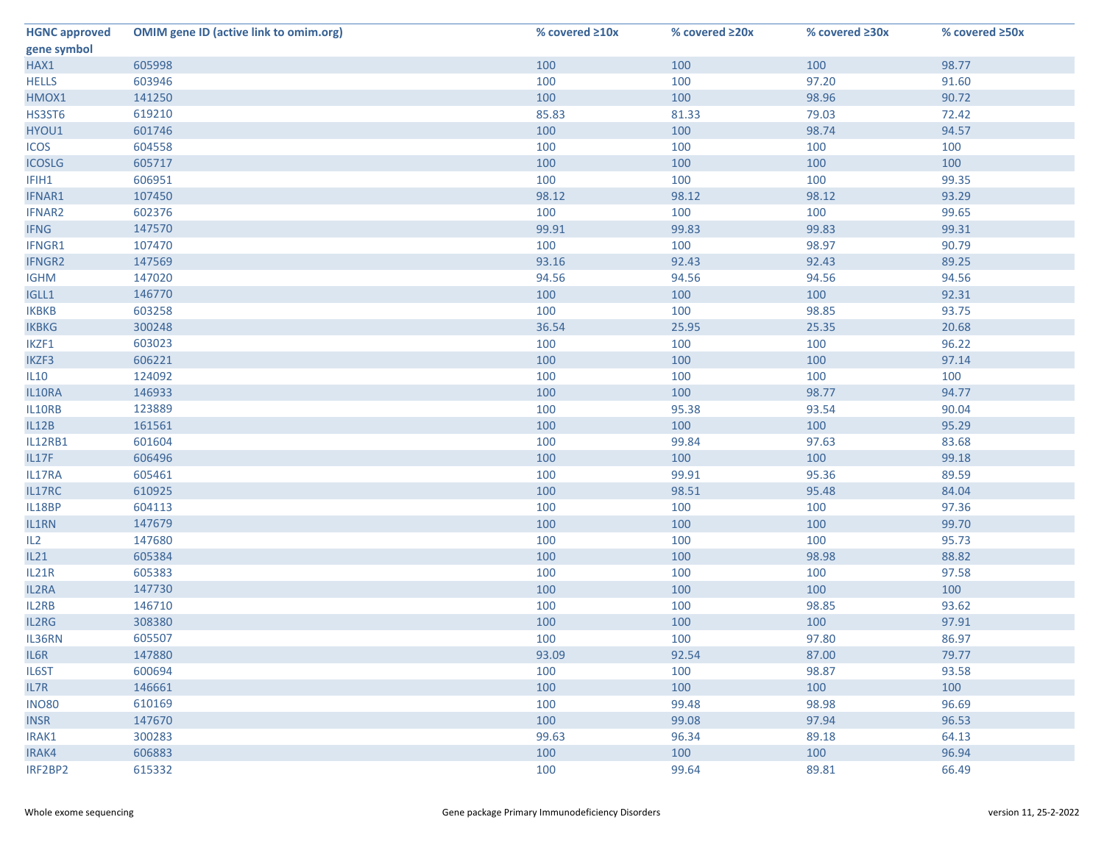| <b>HGNC approved</b> | <b>OMIM gene ID (active link to omim.org)</b> | % covered $\geq 10x$ | % covered ≥20x | % covered ≥30x | % covered ≥50x |
|----------------------|-----------------------------------------------|----------------------|----------------|----------------|----------------|
| gene symbol          |                                               |                      |                |                |                |
| HAX1                 | 605998                                        | 100                  | 100            | 100            | 98.77          |
| <b>HELLS</b>         | 603946                                        | 100                  | 100            | 97.20          | 91.60          |
| HMOX1                | 141250                                        | 100                  | 100            | 98.96          | 90.72          |
| HS3ST6               | 619210                                        | 85.83                | 81.33          | 79.03          | 72.42          |
| HYOU1                | 601746                                        | 100                  | 100            | 98.74          | 94.57          |
| <b>ICOS</b>          | 604558                                        | 100                  | 100            | 100            | 100            |
| <b>ICOSLG</b>        | 605717                                        | 100                  | 100            | 100            | 100            |
| IFIH1                | 606951                                        | 100                  | 100            | 100            | 99.35          |
| IFNAR1               | 107450                                        | 98.12                | 98.12          | 98.12          | 93.29          |
| IFNAR2               | 602376                                        | 100                  | 100            | 100            | 99.65          |
| <b>IFNG</b>          | 147570                                        | 99.91                | 99.83          | 99.83          | 99.31          |
| IFNGR1               | 107470                                        | 100                  | 100            | 98.97          | 90.79          |
| <b>IFNGR2</b>        | 147569                                        | 93.16                | 92.43          | 92.43          | 89.25          |
| <b>IGHM</b>          | 147020                                        | 94.56                | 94.56          | 94.56          | 94.56          |
| IGLL1                | 146770                                        | 100                  | 100            | 100            | 92.31          |
| <b>IKBKB</b>         | 603258                                        | 100                  | 100            | 98.85          | 93.75          |
| <b>IKBKG</b>         | 300248                                        | 36.54                | 25.95          | 25.35          | 20.68          |
| IKZF1                | 603023                                        | 100                  | 100            | 100            | 96.22          |
| IKZF3                | 606221                                        | 100                  | 100            | 100            | 97.14          |
| <b>IL10</b>          | 124092                                        | 100                  | 100            | 100            | 100            |
| IL10RA               | 146933                                        | 100                  | 100            | 98.77          | 94.77          |
| IL10RB               | 123889                                        | 100                  | 95.38          | 93.54          | 90.04          |
| IL12B                | 161561                                        | 100                  | 100            | 100            | 95.29          |
| IL12RB1              | 601604                                        | 100                  | 99.84          | 97.63          | 83.68          |
| IL17F                | 606496                                        | 100                  | 100            | 100            | 99.18          |
| IL17RA               | 605461                                        | 100                  | 99.91          | 95.36          | 89.59          |
| IL17RC               | 610925                                        | 100                  | 98.51          | 95.48          | 84.04          |
| IL18BP               | 604113                                        | 100                  | 100            | 100            | 97.36          |
| IL1RN                | 147679                                        | 100                  | 100            | 100            | 99.70          |
| IL2                  | 147680                                        | 100                  | 100            | 100            | 95.73          |
| IL21                 | 605384                                        | 100                  | 100            | 98.98          | 88.82          |
| IL21R                | 605383                                        | 100                  | 100            | 100            | 97.58          |
| IL2RA                | 147730                                        | 100                  | 100            | 100            | 100            |
| IL2RB                | 146710                                        | 100                  | 100            | 98.85          | 93.62          |
| IL2RG                | 308380                                        | 100                  | 100            | 100            | 97.91          |
| IL36RN               | 605507                                        | 100                  | 100            | 97.80          | 86.97          |
| IL6R                 | 147880                                        | 93.09                | 92.54          | 87.00          | 79.77          |
| IL6ST                | 600694                                        | 100                  | 100            | 98.87          | 93.58          |
| IL7R                 | 146661                                        | 100                  | 100            | 100            | 100            |
| <b>INO80</b>         | 610169                                        | 100                  | 99.48          | 98.98          | 96.69          |
| <b>INSR</b>          | 147670                                        | 100                  | 99.08          | 97.94          | 96.53          |
| IRAK1                | 300283                                        | 99.63                | 96.34          | 89.18          | 64.13          |
| IRAK4                | 606883                                        | 100                  | 100            | 100            | 96.94          |
| IRF2BP2              | 615332                                        | 100                  | 99.64          | 89.81          | 66.49          |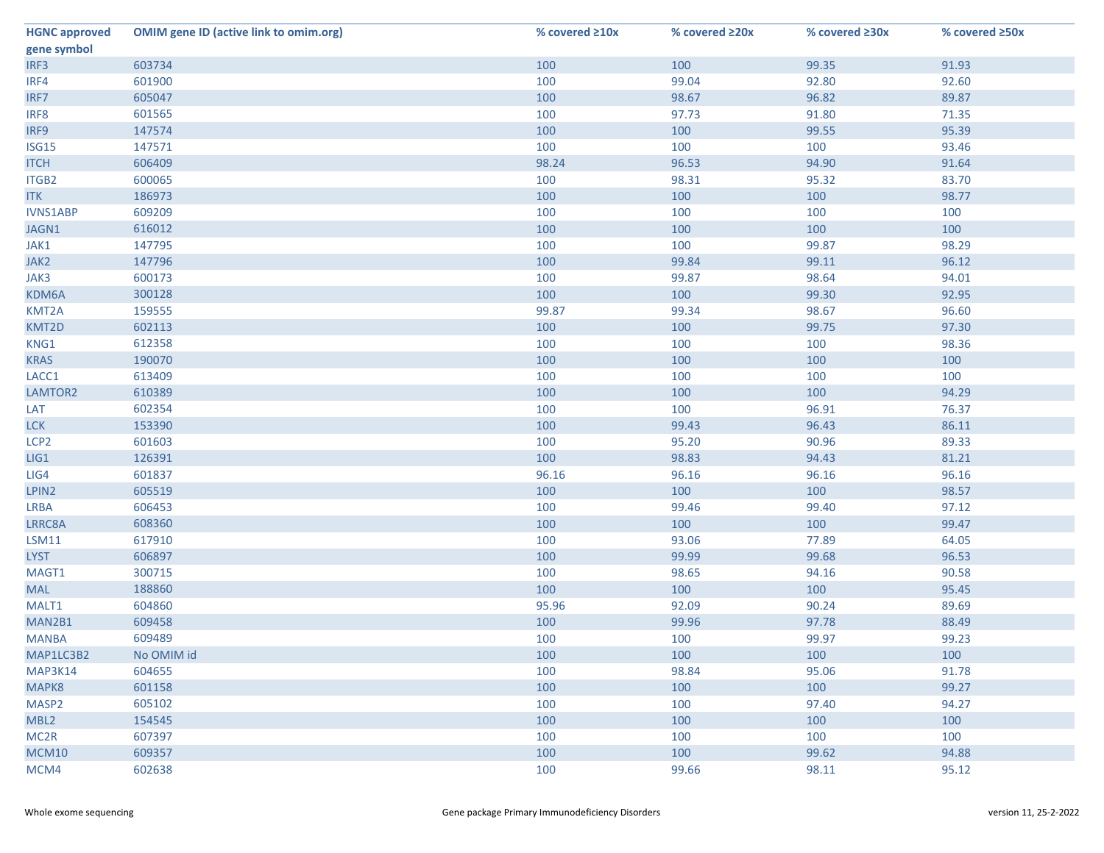| <b>HGNC approved</b> | <b>OMIM gene ID (active link to omim.org)</b> | % covered $\geq 10x$ | % covered ≥20x | % covered ≥30x | % covered ≥50x |
|----------------------|-----------------------------------------------|----------------------|----------------|----------------|----------------|
| gene symbol          |                                               |                      |                |                |                |
| IRF3                 | 603734                                        | 100                  | 100            | 99.35          | 91.93          |
| IRF4                 | 601900                                        | 100                  | 99.04          | 92.80          | 92.60          |
| IRF7                 | 605047                                        | 100                  | 98.67          | 96.82          | 89.87          |
| IRF8                 | 601565                                        | 100                  | 97.73          | 91.80          | 71.35          |
| IRF9                 | 147574                                        | 100                  | 100            | 99.55          | 95.39          |
| <b>ISG15</b>         | 147571                                        | 100                  | 100            | 100            | 93.46          |
| <b>ITCH</b>          | 606409                                        | 98.24                | 96.53          | 94.90          | 91.64          |
| ITGB2                | 600065                                        | 100                  | 98.31          | 95.32          | 83.70          |
| <b>ITK</b>           | 186973                                        | 100                  | 100            | 100            | 98.77          |
| <b>IVNS1ABP</b>      | 609209                                        | 100                  | 100            | 100            | 100            |
| JAGN1                | 616012                                        | 100                  | 100            | 100            | 100            |
| JAK1                 | 147795                                        | 100                  | 100            | 99.87          | 98.29          |
| JAK2                 | 147796                                        | 100                  | 99.84          | 99.11          | 96.12          |
| JAK3                 | 600173                                        | 100                  | 99.87          | 98.64          | 94.01          |
| KDM6A                | 300128                                        | 100                  | 100            | 99.30          | 92.95          |
| KMT2A                | 159555                                        | 99.87                | 99.34          | 98.67          | 96.60          |
| KMT2D                | 602113                                        | 100                  | 100            | 99.75          | 97.30          |
| KNG1                 | 612358                                        | 100                  | 100            | 100            | 98.36          |
| <b>KRAS</b>          | 190070                                        | 100                  | 100            | 100            | 100            |
| LACC1                | 613409                                        | 100                  | 100            | 100            | 100            |
| LAMTOR2              | 610389                                        | 100                  | 100            | 100            | 94.29          |
| LAT                  | 602354                                        | 100                  | 100            | 96.91          | 76.37          |
| <b>LCK</b>           | 153390                                        | 100                  | 99.43          | 96.43          | 86.11          |
| LCP <sub>2</sub>     | 601603                                        | 100                  | 95.20          | 90.96          | 89.33          |
| LIG1                 | 126391                                        | 100                  | 98.83          | 94.43          | 81.21          |
| LIG4                 | 601837                                        | 96.16                | 96.16          | 96.16          | 96.16          |
| LPIN2                | 605519                                        | 100                  | 100            | 100            | 98.57          |
| <b>LRBA</b>          | 606453                                        | 100                  | 99.46          | 99.40          | 97.12          |
| LRRC8A               | 608360                                        | 100                  | 100            | 100            | 99.47          |
| <b>LSM11</b>         | 617910                                        | 100                  | 93.06          | 77.89          | 64.05          |
| <b>LYST</b>          | 606897                                        | 100                  | 99.99          | 99.68          | 96.53          |
| MAGT1                | 300715                                        | 100                  | 98.65          | 94.16          | 90.58          |
| <b>MAL</b>           | 188860                                        | 100                  | 100            | 100            | 95.45          |
| MALT1                | 604860                                        | 95.96                | 92.09          | 90.24          | 89.69          |
| MAN2B1               | 609458                                        | 100                  | 99.96          | 97.78          | 88.49          |
| <b>MANBA</b>         | 609489                                        | 100                  | 100            | 99.97          | 99.23          |
| MAP1LC3B2            | No OMIM id                                    | 100                  | 100            | 100            | 100            |
| MAP3K14              | 604655                                        | 100                  | 98.84          | 95.06          | 91.78          |
| MAPK8                | 601158                                        | 100                  | 100            | 100            | 99.27          |
| MASP <sub>2</sub>    | 605102                                        | 100                  | 100            | 97.40          | 94.27          |
| MBL2                 | 154545                                        | 100                  | 100            | 100            | 100            |
| MC <sub>2R</sub>     | 607397                                        | 100                  | 100            | 100            | 100            |
| MCM10                | 609357                                        | 100                  | 100            | 99.62          | 94.88          |
| MCM4                 | 602638                                        | 100                  | 99.66          | 98.11          | 95.12          |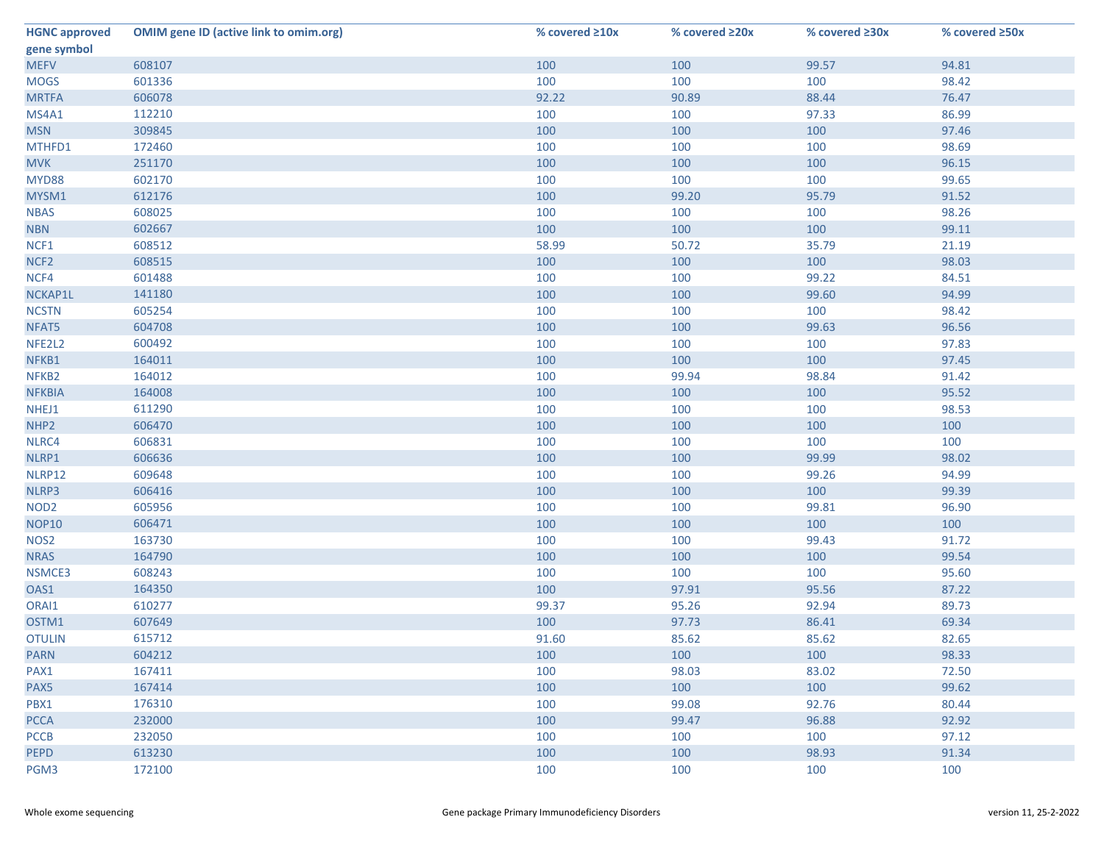| <b>HGNC approved</b> | <b>OMIM gene ID (active link to omim.org)</b> | % covered $\geq 10x$ | % covered ≥20x | % covered ≥30x | % covered ≥50x |
|----------------------|-----------------------------------------------|----------------------|----------------|----------------|----------------|
| gene symbol          |                                               |                      |                |                |                |
| <b>MEFV</b>          | 608107                                        | 100                  | 100            | 99.57          | 94.81          |
| <b>MOGS</b>          | 601336                                        | 100                  | 100            | 100            | 98.42          |
| <b>MRTFA</b>         | 606078                                        | 92.22                | 90.89          | 88.44          | 76.47          |
| MS4A1                | 112210                                        | 100                  | 100            | 97.33          | 86.99          |
| <b>MSN</b>           | 309845                                        | 100                  | 100            | 100            | 97.46          |
| MTHFD1               | 172460                                        | 100                  | 100            | 100            | 98.69          |
| <b>MVK</b>           | 251170                                        | 100                  | 100            | 100            | 96.15          |
| MYD88                | 602170                                        | 100                  | 100            | 100            | 99.65          |
| MYSM1                | 612176                                        | 100                  | 99.20          | 95.79          | 91.52          |
| <b>NBAS</b>          | 608025                                        | 100                  | 100            | 100            | 98.26          |
| <b>NBN</b>           | 602667                                        | 100                  | 100            | 100            | 99.11          |
| NCF1                 | 608512                                        | 58.99                | 50.72          | 35.79          | 21.19          |
| NCF <sub>2</sub>     | 608515                                        | 100                  | 100            | 100            | 98.03          |
| NCF4                 | 601488                                        | 100                  | 100            | 99.22          | 84.51          |
| NCKAP1L              | 141180                                        | 100                  | 100            | 99.60          | 94.99          |
| <b>NCSTN</b>         | 605254                                        | 100                  | 100            | 100            | 98.42          |
| NFAT5                | 604708                                        | 100                  | 100            | 99.63          | 96.56          |
| NFE2L2               | 600492                                        | 100                  | 100            | 100            | 97.83          |
| NFKB1                | 164011                                        | 100                  | 100            | 100            | 97.45          |
| NFKB <sub>2</sub>    | 164012                                        | 100                  | 99.94          | 98.84          | 91.42          |
| <b>NFKBIA</b>        | 164008                                        | 100                  | 100            | 100            | 95.52          |
| NHEJ1                | 611290                                        | 100                  | 100            | 100            | 98.53          |
| NHP <sub>2</sub>     | 606470                                        | 100                  | 100            | 100            | 100            |
| NLRC4                | 606831                                        | 100                  | 100            | 100            | 100            |
| NLRP1                | 606636                                        | 100                  | 100            | 99.99          | 98.02          |
| NLRP12               | 609648                                        | 100                  | 100            | 99.26          | 94.99          |
| NLRP3                | 606416                                        | 100                  | 100            | 100            | 99.39          |
| NOD <sub>2</sub>     | 605956                                        | 100                  | 100            | 99.81          | 96.90          |
| <b>NOP10</b>         | 606471                                        | 100                  | 100            | 100            | 100            |
| NOS <sub>2</sub>     | 163730                                        | 100                  | 100            | 99.43          | 91.72          |
| <b>NRAS</b>          | 164790                                        | 100                  | 100            | 100            | 99.54          |
| NSMCE3               | 608243                                        | 100                  | 100            | 100            | 95.60          |
| OAS1                 | 164350                                        | 100                  | 97.91          | 95.56          | 87.22          |
| ORAI1                | 610277                                        | 99.37                | 95.26          | 92.94          | 89.73          |
| OSTM1                | 607649                                        | 100                  | 97.73          | 86.41          | 69.34          |
| <b>OTULIN</b>        | 615712                                        | 91.60                | 85.62          | 85.62          | 82.65          |
| <b>PARN</b>          | 604212                                        | 100                  | 100            | 100            | 98.33          |
| PAX1                 | 167411                                        | 100                  | 98.03          | 83.02          | 72.50          |
| PAX5                 | 167414                                        | 100                  | 100            | 100            | 99.62          |
| PBX1                 | 176310                                        | 100                  | 99.08          | 92.76          | 80.44          |
| <b>PCCA</b>          | 232000                                        | 100                  | 99.47          | 96.88          | 92.92          |
| <b>PCCB</b>          | 232050                                        | 100                  | 100            | 100            | 97.12          |
| <b>PEPD</b>          | 613230                                        | 100                  | 100            | 98.93          | 91.34          |
| PGM3                 | 172100                                        | 100                  | 100            | 100            | 100            |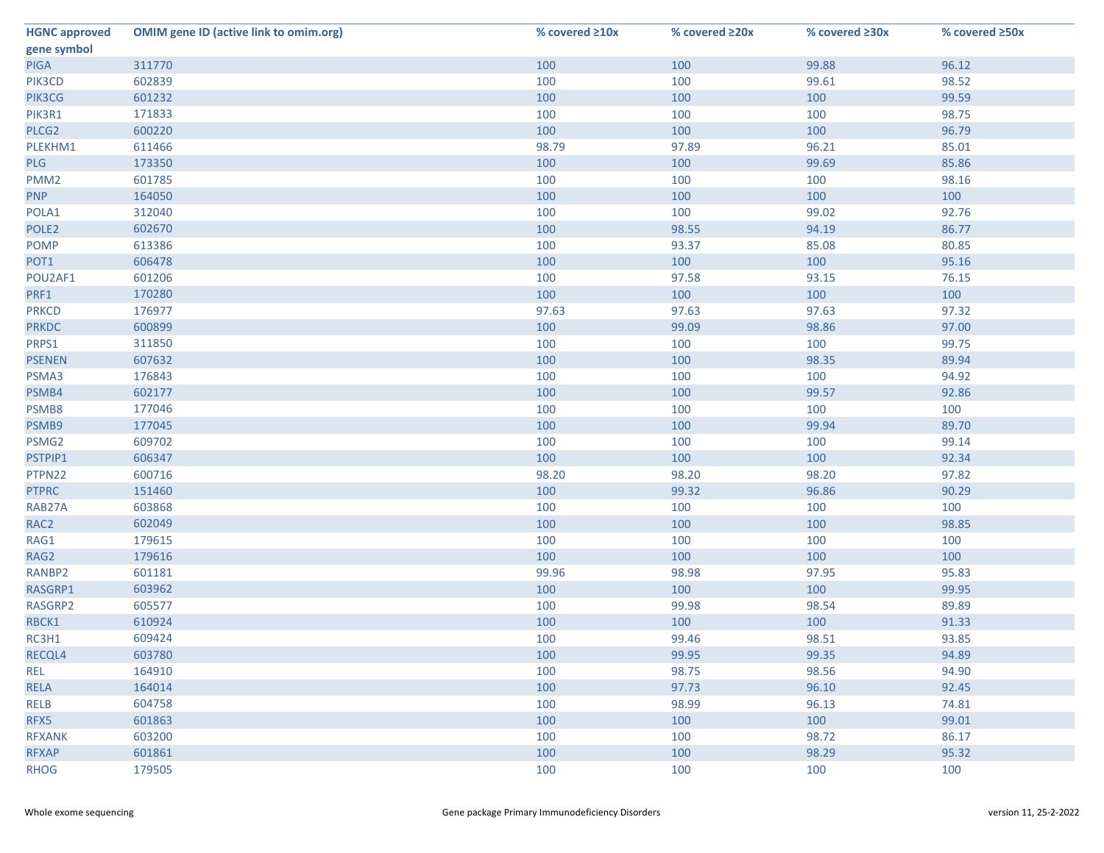| <b>HGNC approved</b> | <b>OMIM gene ID (active link to omim.org)</b> | % covered $\geq 10x$ | % covered ≥20x | % covered ≥30x | % covered ≥50x |
|----------------------|-----------------------------------------------|----------------------|----------------|----------------|----------------|
| gene symbol          |                                               |                      |                |                |                |
| PIGA                 | 311770                                        | 100                  | 100            | 99.88          | 96.12          |
| PIK3CD               | 602839                                        | 100                  | 100            | 99.61          | 98.52          |
| PIK3CG               | 601232                                        | 100                  | 100            | 100            | 99.59          |
| PIK3R1               | 171833                                        | 100                  | 100            | 100            | 98.75          |
| PLCG2                | 600220                                        | 100                  | 100            | 100            | 96.79          |
| PLEKHM1              | 611466                                        | 98.79                | 97.89          | 96.21          | 85.01          |
| PLG                  | 173350                                        | 100                  | 100            | 99.69          | 85.86          |
| PMM <sub>2</sub>     | 601785                                        | 100                  | 100            | 100            | 98.16          |
| <b>PNP</b>           | 164050                                        | 100                  | 100            | 100            | 100            |
| POLA1                | 312040                                        | 100                  | 100            | 99.02          | 92.76          |
| POLE <sub>2</sub>    | 602670                                        | 100                  | 98.55          | 94.19          | 86.77          |
| <b>POMP</b>          | 613386                                        | 100                  | 93.37          | 85.08          | 80.85          |
| POT1                 | 606478                                        | 100                  | 100            | 100            | 95.16          |
| POU2AF1              | 601206                                        | 100                  | 97.58          | 93.15          | 76.15          |
| PRF1                 | 170280                                        | 100                  | 100            | 100            | 100            |
| <b>PRKCD</b>         | 176977                                        | 97.63                | 97.63          | 97.63          | 97.32          |
| <b>PRKDC</b>         | 600899                                        | 100                  | 99.09          | 98.86          | 97.00          |
| PRPS1                | 311850                                        | 100                  | 100            | 100            | 99.75          |
| <b>PSENEN</b>        | 607632                                        | 100                  | 100            | 98.35          | 89.94          |
| PSMA3                | 176843                                        | 100                  | 100            | 100            | 94.92          |
| PSMB4                | 602177                                        | 100                  | 100            | 99.57          | 92.86          |
| PSMB8                | 177046                                        | 100                  | 100            | 100            | 100            |
| PSMB9                | 177045                                        | 100                  | 100            | 99.94          | 89.70          |
| PSMG2                | 609702                                        | 100                  | 100            | 100            | 99.14          |
| PSTPIP1              | 606347                                        | 100                  | 100            | 100            | 92.34          |
| PTPN22               | 600716                                        | 98.20                | 98.20          | 98.20          | 97.82          |
| <b>PTPRC</b>         | 151460                                        | 100                  | 99.32          | 96.86          | 90.29          |
| RAB27A               | 603868                                        | 100                  | 100            | 100            | 100            |
| RAC <sub>2</sub>     | 602049                                        | 100                  | 100            | 100            | 98.85          |
| RAG1                 | 179615                                        | 100                  | 100            | 100            | 100            |
| RAG2                 | 179616                                        | 100                  | 100            | 100            | 100            |
| RANBP2               | 601181                                        | 99.96                | 98.98          | 97.95          | 95.83          |
| RASGRP1              | 603962                                        | 100                  | 100            | 100            | 99.95          |
| RASGRP2              | 605577                                        | 100                  | 99.98          | 98.54          | 89.89          |
| RBCK1                | 610924                                        | 100                  | 100            | 100            | 91.33          |
| RC3H1                | 609424                                        | 100                  | 99.46          | 98.51          | 93.85          |
| RECQL4               | 603780                                        | 100                  | 99.95          | 99.35          | 94.89          |
| <b>REL</b>           | 164910                                        | 100                  | 98.75          | 98.56          | 94.90          |
| <b>RELA</b>          | 164014                                        | 100                  | 97.73          | 96.10          | 92.45          |
| <b>RELB</b>          | 604758                                        | 100                  | 98.99          | 96.13          | 74.81          |
| RFX5                 | 601863                                        | 100                  | 100            | 100            | 99.01          |
| <b>RFXANK</b>        | 603200                                        | 100                  | 100            | 98.72          | 86.17          |
| <b>RFXAP</b>         | 601861                                        | 100                  | 100            | 98.29          | 95.32          |
| <b>RHOG</b>          | 179505                                        | 100                  | 100            | 100            | 100            |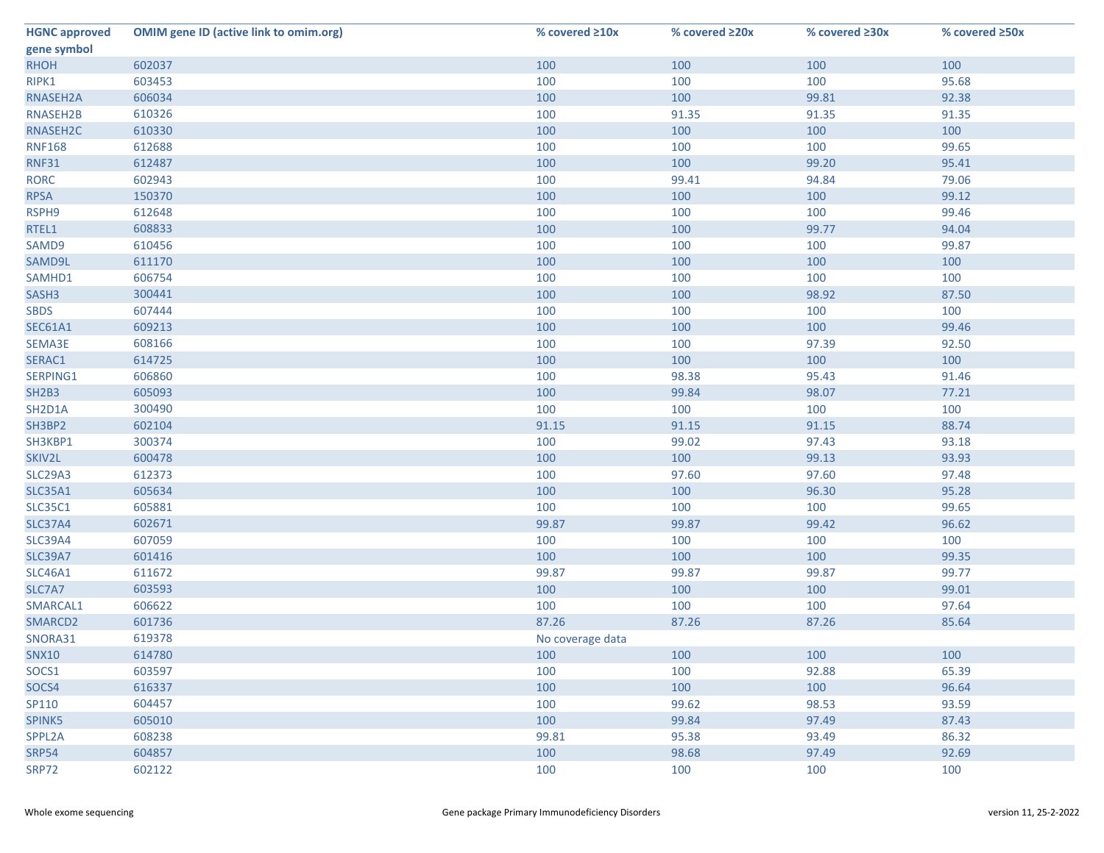| <b>HGNC approved</b> | <b>OMIM gene ID (active link to omim.org)</b> | % covered $\geq 10x$ | % covered ≥20x | % covered ≥30x | % covered ≥50x |
|----------------------|-----------------------------------------------|----------------------|----------------|----------------|----------------|
| gene symbol          |                                               |                      |                |                |                |
| <b>RHOH</b>          | 602037                                        | 100                  | 100            | 100            | 100            |
| RIPK1                | 603453                                        | 100                  | 100            | 100            | 95.68          |
| RNASEH2A             | 606034                                        | 100                  | 100            | 99.81          | 92.38          |
| RNASEH2B             | 610326                                        | 100                  | 91.35          | 91.35          | 91.35          |
| RNASEH2C             | 610330                                        | 100                  | 100            | 100            | 100            |
| <b>RNF168</b>        | 612688                                        | 100                  | 100            | 100            | 99.65          |
| <b>RNF31</b>         | 612487                                        | 100                  | 100            | 99.20          | 95.41          |
| <b>RORC</b>          | 602943                                        | 100                  | 99.41          | 94.84          | 79.06          |
| <b>RPSA</b>          | 150370                                        | 100                  | 100            | 100            | 99.12          |
| RSPH9                | 612648                                        | 100                  | 100            | 100            | 99.46          |
| RTEL1                | 608833                                        | 100                  | 100            | 99.77          | 94.04          |
| SAMD9                | 610456                                        | 100                  | 100            | 100            | 99.87          |
| SAMD9L               | 611170                                        | 100                  | 100            | 100            | 100            |
| SAMHD1               | 606754                                        | 100                  | 100            | 100            | 100            |
| SASH3                | 300441                                        | 100                  | 100            | 98.92          | 87.50          |
| <b>SBDS</b>          | 607444                                        | 100                  | 100            | 100            | 100            |
| <b>SEC61A1</b>       | 609213                                        | 100                  | 100            | 100            | 99.46          |
| SEMA3E               | 608166                                        | 100                  | 100            | 97.39          | 92.50          |
| SERAC1               | 614725                                        | 100                  | 100            | 100            | 100            |
| SERPING1             | 606860                                        | 100                  | 98.38          | 95.43          | 91.46          |
| <b>SH2B3</b>         | 605093                                        | 100                  | 99.84          | 98.07          | 77.21          |
| SH2D1A               | 300490                                        | 100                  | 100            | 100            | 100            |
| SH3BP2               | 602104                                        | 91.15                | 91.15          | 91.15          | 88.74          |
| SH3KBP1              | 300374                                        | 100                  | 99.02          | 97.43          | 93.18          |
| SKIV2L               | 600478                                        | 100                  | 100            | 99.13          | 93.93          |
| <b>SLC29A3</b>       | 612373                                        | 100                  | 97.60          | 97.60          | 97.48          |
| <b>SLC35A1</b>       | 605634                                        | 100                  | 100            | 96.30          | 95.28          |
| <b>SLC35C1</b>       | 605881                                        | 100                  | 100            | 100            | 99.65          |
| <b>SLC37A4</b>       | 602671                                        | 99.87                | 99.87          | 99.42          | 96.62          |
| SLC39A4              | 607059                                        | 100                  | 100            | 100            | 100            |
| <b>SLC39A7</b>       | 601416                                        | 100                  | 100            | 100            | 99.35          |
| <b>SLC46A1</b>       | 611672                                        | 99.87                | 99.87          | 99.87          | 99.77          |
| SLC7A7               | 603593                                        | 100                  | 100            | 100            | 99.01          |
| SMARCAL1             | 606622                                        | 100                  | 100            | 100            | 97.64          |
| SMARCD2              | 601736                                        | 87.26                | 87.26          | 87.26          | 85.64          |
| SNORA31              | 619378                                        | No coverage data     |                |                |                |
| <b>SNX10</b>         | 614780                                        | 100                  | 100            | 100            | 100            |
| SOCS1                | 603597                                        | 100                  | 100            | 92.88          | 65.39          |
| SOCS4                | 616337                                        | 100                  | 100            | 100            | 96.64          |
| SP110                | 604457                                        | 100                  | 99.62          | 98.53          | 93.59          |
| SPINK5               | 605010                                        | 100                  | 99.84          | 97.49          | 87.43          |
| SPPL2A               | 608238                                        | 99.81                | 95.38          | 93.49          | 86.32          |
| <b>SRP54</b>         | 604857                                        | 100                  | 98.68          | 97.49          | 92.69          |
| <b>SRP72</b>         | 602122                                        | 100                  | 100            | 100            | 100            |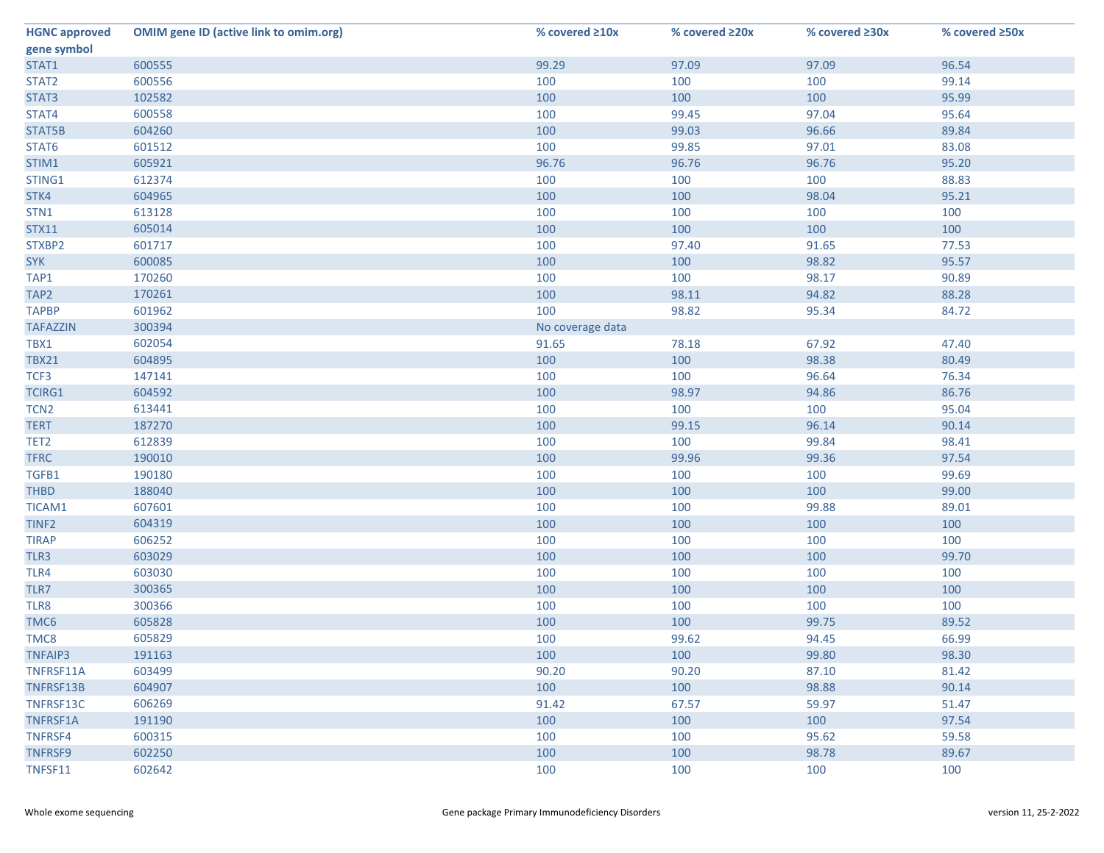| <b>HGNC approved</b> | <b>OMIM gene ID (active link to omim.org)</b> | % covered ≥10x   | % covered ≥20x | % covered ≥30x | % covered ≥50x |
|----------------------|-----------------------------------------------|------------------|----------------|----------------|----------------|
| gene symbol          |                                               |                  |                |                |                |
| STAT1                | 600555                                        | 99.29            | 97.09          | 97.09          | 96.54          |
| STAT2                | 600556                                        | 100              | 100            | 100            | 99.14          |
| STAT3                | 102582                                        | 100              | 100            | 100            | 95.99          |
| STAT4                | 600558                                        | 100              | 99.45          | 97.04          | 95.64          |
| STAT5B               | 604260                                        | 100              | 99.03          | 96.66          | 89.84          |
| STAT6                | 601512                                        | 100              | 99.85          | 97.01          | 83.08          |
| STIM1                | 605921                                        | 96.76            | 96.76          | 96.76          | 95.20          |
| STING1               | 612374                                        | 100              | 100            | 100            | 88.83          |
| STK4                 | 604965                                        | 100              | 100            | 98.04          | 95.21          |
| STN1                 | 613128                                        | 100              | 100            | 100            | 100            |
| <b>STX11</b>         | 605014                                        | 100              | 100            | 100            | 100            |
| STXBP2               | 601717                                        | 100              | 97.40          | 91.65          | 77.53          |
| <b>SYK</b>           | 600085                                        | 100              | 100            | 98.82          | 95.57          |
| TAP1                 | 170260                                        | 100              | 100            | 98.17          | 90.89          |
| TAP <sub>2</sub>     | 170261                                        | 100              | 98.11          | 94.82          | 88.28          |
| <b>TAPBP</b>         | 601962                                        | 100              | 98.82          | 95.34          | 84.72          |
| <b>TAFAZZIN</b>      | 300394                                        | No coverage data |                |                |                |
| TBX1                 | 602054                                        | 91.65            | 78.18          | 67.92          | 47.40          |
| <b>TBX21</b>         | 604895                                        | 100              | 100            | 98.38          | 80.49          |
| TCF3                 | 147141                                        | 100              | 100            | 96.64          | 76.34          |
| <b>TCIRG1</b>        | 604592                                        | 100              | 98.97          | 94.86          | 86.76          |
| TCN <sub>2</sub>     | 613441                                        | 100              | 100            | 100            | 95.04          |
| <b>TERT</b>          | 187270                                        | 100              | 99.15          | 96.14          | 90.14          |
| TET <sub>2</sub>     | 612839                                        | 100              | 100            | 99.84          | 98.41          |
| <b>TFRC</b>          | 190010                                        | 100              | 99.96          | 99.36          | 97.54          |
| TGFB1                | 190180                                        | 100              | 100            | 100            | 99.69          |
| <b>THBD</b>          | 188040                                        | 100              | 100            | 100            | 99.00          |
| TICAM1               | 607601                                        | 100              | 100            | 99.88          | 89.01          |
| TINF <sub>2</sub>    | 604319                                        | 100              | 100            | 100            | 100            |
| <b>TIRAP</b>         | 606252                                        | 100              | 100            | 100            | 100            |
| TLR3                 | 603029                                        | 100              | 100            | 100            | 99.70          |
| TLR4                 | 603030                                        | 100              | 100            | 100            | 100            |
| TLR7                 | 300365                                        | 100              | 100            | 100            | 100            |
| TLR8                 | 300366                                        | 100              | 100            | 100            | 100            |
| TMC6                 | 605828                                        | 100              | 100            | 99.75          | 89.52          |
| TMC8                 | 605829                                        | 100              | 99.62          | 94.45          | 66.99          |
| <b>TNFAIP3</b>       | 191163                                        | 100              | 100            | 99.80          | 98.30          |
| TNFRSF11A            | 603499                                        | 90.20            | 90.20          | 87.10          | 81.42          |
| TNFRSF13B            | 604907                                        | 100              | 100            | 98.88          | 90.14          |
| TNFRSF13C            | 606269                                        | 91.42            | 67.57          | 59.97          | 51.47          |
| TNFRSF1A             | 191190                                        | 100              | 100            | 100            | 97.54          |
| TNFRSF4              | 600315                                        | 100              | 100            | 95.62          | 59.58          |
| <b>TNFRSF9</b>       | 602250                                        | 100              | 100            | 98.78          | 89.67          |
| TNFSF11              | 602642                                        | 100              | 100            | 100            | 100            |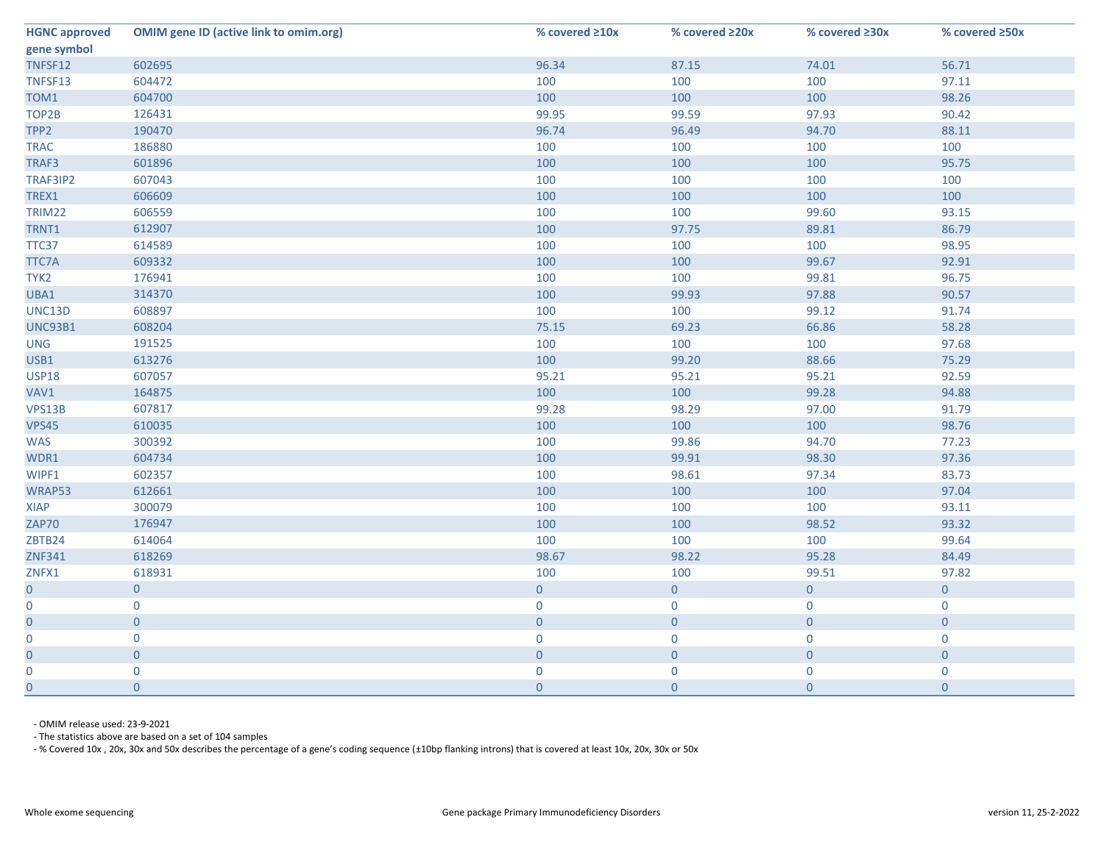| <b>HGNC approved</b> | <b>OMIM gene ID (active link to omim.org)</b> | % covered ≥10x   | % covered ≥20x | % covered ≥30x | % covered ≥50x |
|----------------------|-----------------------------------------------|------------------|----------------|----------------|----------------|
| gene symbol          |                                               |                  |                |                |                |
| TNFSF12              | 602695                                        | 96.34            | 87.15          | 74.01          | 56.71          |
| TNFSF13              | 604472                                        | 100              | 100            | 100            | 97.11          |
| TOM1                 | 604700                                        | 100              | 100            | 100            | 98.26          |
| TOP2B                | 126431                                        | 99.95            | 99.59          | 97.93          | 90.42          |
| TPP <sub>2</sub>     | 190470                                        | 96.74            | 96.49          | 94.70          | 88.11          |
| <b>TRAC</b>          | 186880                                        | 100              | 100            | 100            | 100            |
| TRAF3                | 601896                                        | 100              | 100            | 100            | 95.75          |
| TRAF3IP2             | 607043                                        | 100              | 100            | 100            | 100            |
| TREX1                | 606609                                        | 100              | 100            | 100            | 100            |
| TRIM22               | 606559                                        | 100              | 100            | 99.60          | 93.15          |
| TRNT1                | 612907                                        | 100              | 97.75          | 89.81          | 86.79          |
| TTC37                | 614589                                        | 100              | 100            | 100            | 98.95          |
| TTC7A                | 609332                                        | 100              | 100            | 99.67          | 92.91          |
| TYK <sub>2</sub>     | 176941                                        | 100              | 100            | 99.81          | 96.75          |
| UBA1                 | 314370                                        | 100              | 99.93          | 97.88          | 90.57          |
| UNC13D               | 608897                                        | 100              | 100            | 99.12          | 91.74          |
| <b>UNC93B1</b>       | 608204                                        | 75.15            | 69.23          | 66.86          | 58.28          |
| <b>UNG</b>           | 191525                                        | 100              | 100            | 100            | 97.68          |
| USB1                 | 613276                                        | 100              | 99.20          | 88.66          | 75.29          |
| <b>USP18</b>         | 607057                                        | 95.21            | 95.21          | 95.21          | 92.59          |
| VAV1                 | 164875                                        | 100              | 100            | 99.28          | 94.88          |
| VPS13B               | 607817                                        | 99.28            | 98.29          | 97.00          | 91.79          |
| <b>VPS45</b>         | 610035                                        | 100              | 100            | 100            | 98.76          |
| <b>WAS</b>           | 300392                                        | 100              | 99.86          | 94.70          | 77.23          |
| WDR1                 | 604734                                        | 100              | 99.91          | 98.30          | 97.36          |
| WIPF1                | 602357                                        | 100              | 98.61          | 97.34          | 83.73          |
| WRAP53               | 612661                                        | 100              | 100            | 100            | 97.04          |
| <b>XIAP</b>          | 300079                                        | 100              | 100            | 100            | 93.11          |
| ZAP70                | 176947                                        | 100              | 100            | 98.52          | 93.32          |
| ZBTB24               | 614064                                        | 100              | 100            | 100            | 99.64          |
| <b>ZNF341</b>        | 618269                                        | 98.67            | 98.22          | 95.28          | 84.49          |
| ZNFX1                | 618931                                        | 100              | 100            | 99.51          | 97.82          |
| $\overline{0}$       | $\overline{0}$                                | $\overline{0}$   | $\overline{0}$ | $\overline{0}$ | $\overline{0}$ |
| $\mathbf 0$          | $\mathbf{0}$                                  | $\mathbf{0}$     | $\mathbf 0$    | $\overline{0}$ | $\mathbf 0$    |
| $\overline{0}$       | $\overline{0}$                                | $\mathbf{0}$     | $\overline{0}$ | $\overline{0}$ | $\overline{0}$ |
| 0                    | $\mathbf{0}$                                  | $\mathbf 0$      | 0              | $\mathbf 0$    | $\mathbf 0$    |
| $\overline{0}$       | $\overline{0}$                                | $\mathbf 0$      | $\overline{0}$ | $\overline{0}$ | $\overline{0}$ |
|                      | 0                                             | $\overline{0}$   | $\mathbf 0$    |                | $\overline{0}$ |
| 0                    | $\mathbf{0}$                                  | $\boldsymbol{0}$ | $\overline{0}$ | $\overline{0}$ | $\overline{0}$ |

- OMIM release used: 23-9-2021

- The statistics above are based on a set of 104 samples

- % Covered 10x , 20x, 30x and 50x describes the percentage of a gene's coding sequence (±10bp flanking introns) that is covered at least 10x, 20x, 30x or 50x